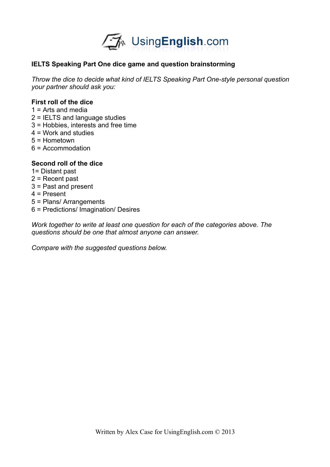

### **IELTS Speaking Part One dice game and question brainstorming**

*Throw the dice to decide what kind of IELTS Speaking Part One-style personal question your partner should ask you:*

#### **First roll of the dice**

- $1 =$  Arts and media
- 2 = IELTS and language studies
- 3 = Hobbies, interests and free time
- 4 = Work and studies
- 5 = Hometown
- 6 = Accommodation

#### **Second roll of the dice**

- 1= Distant past
- 2 = Recent past
- 3 = Past and present
- 4 = Present
- 5 = Plans/ Arrangements
- 6 = Predictions/ Imagination/ Desires

*Work together to write at least one question for each of the categories above. The questions should be one that almost anyone can answer.* 

*Compare with the suggested questions below.*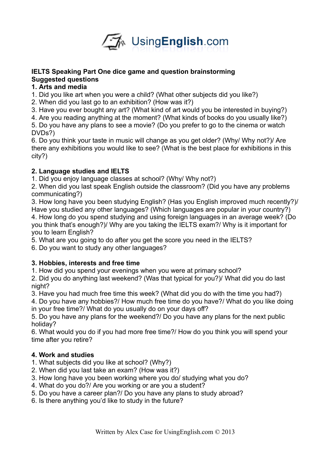

# **IELTS Speaking Part One dice game and question brainstorming Suggested questions**

# **1. Arts and media**

1. Did you like art when you were a child? (What other subjects did you like?)

2. When did you last go to an exhibition? (How was it?)

3. Have you ever bought any art? (What kind of art would you be interested in buying?)

4. Are you reading anything at the moment? (What kinds of books do you usually like?)

5. Do you have any plans to see a movie? (Do you prefer to go to the cinema or watch DVDs?)

6. Do you think your taste in music will change as you get older? (Why/ Why not?)/ Are there any exhibitions you would like to see? (What is the best place for exhibitions in this city?)

# **2. Language studies and IELTS**

1. Did you enjoy language classes at school? (Why/ Why not?)

2. When did you last speak English outside the classroom? (Did you have any problems communicating?)

3. How long have you been studying English? (Has you English improved much recently?)/ Have you studied any other languages? (Which languages are popular in your country?)

4. How long do you spend studying and using foreign languages in an average week? (Do you think that's enough?)/ Why are you taking the IELTS exam?/ Why is it important for you to learn English?

5. What are you going to do after you get the score you need in the IELTS?

6. Do you want to study any other languages?

# **3. Hobbies, interests and free time**

1. How did you spend your evenings when you were at primary school?

2. Did you do anything last weekend? (Was that typical for you?)/ What did you do last night?

3. Have you had much free time this week? (What did you do with the time you had?)

4. Do you have any hobbies?/ How much free time do you have?/ What do you like doing in your free time?/ What do you usually do on your days off?

5. Do you have any plans for the weekend?/ Do you have any plans for the next public holiday?

6. What would you do if you had more free time?/ How do you think you will spend your time after you retire?

# **4. Work and studies**

- 1. What subjects did you like at school? (Why?)
- 2. When did you last take an exam? (How was it?)
- 3. How long have you been working where you do/ studying what you do?
- 4. What do you do?/ Are you working or are you a student?
- 5. Do you have a career plan?/ Do you have any plans to study abroad?
- 6. Is there anything you'd like to study in the future?